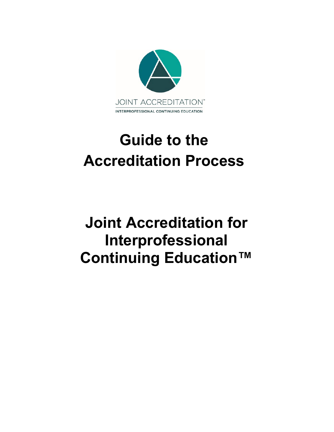

# **Guide to the Accreditation Process**

# **Joint Accreditation for Interprofessional Continuing Education™**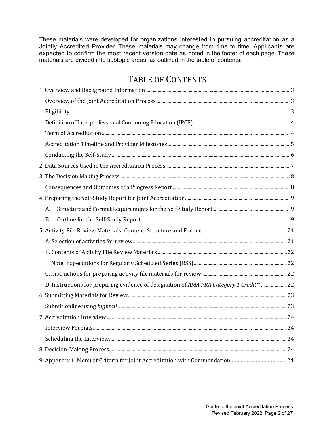These materials were developed for organizations interested in pursuing accreditation as a Jointly Accredited Provider. These materials may change from time to time. Applicants are expected to confirm the most recent version date as noted in the footer of each page. These materials are divided into subtopic areas, as outlined in the table of contents:

# TABLE OF CONTENTS

<span id="page-1-0"></span>

| A.                                                                                                 |  |
|----------------------------------------------------------------------------------------------------|--|
| <b>B.</b>                                                                                          |  |
|                                                                                                    |  |
|                                                                                                    |  |
|                                                                                                    |  |
|                                                                                                    |  |
|                                                                                                    |  |
| D. Instructions for preparing evidence of designation of AMA PRA Category 1 Credit <sup>™</sup> 22 |  |
|                                                                                                    |  |
|                                                                                                    |  |
|                                                                                                    |  |
|                                                                                                    |  |
|                                                                                                    |  |
|                                                                                                    |  |
| 9. Appendix 1. Menu of Criteria for Joint Accreditation with Commendation  24                      |  |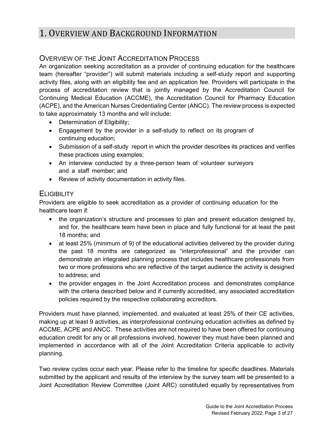# 1. OVERVIEW AND BACKGROUND INFORMATION

# <span id="page-2-0"></span>OVERVIEW OF THE JOINT ACCREDITATION PROCESS

An organization seeking accreditation as a provider of continuing education for the healthcare team (hereafter "provider") will submit materials including a self-study report and supporting activity files, along with an eligibility fee and an application fee. Providers will participate in the process of accreditation review that is jointly managed by the Accreditation Council for Continuing Medical Education (ACCME), the Accreditation Council for Pharmacy Education (ACPE), and the American Nurses Credentialing Center (ANCC). The review process is expected to take approximately 13 months and will include:

- Determination of Eligibility;
- Engagement by the provider in a self-study to reflect on its program of continuing education;
- Submission of a self-study report in which the provider describes its practices and verifies these practices using examples;
- An interview conducted by a three-person team of volunteer surveyors and a staff member; and
- Review of activity documentation in activity files.

# <span id="page-2-1"></span>**ELIGIBILITY**

Providers are eligible to seek accreditation as a provider of continuing education for the healthcare team if:

- the organization's structure and processes to plan and present education designed by, and for, the healthcare team have been in place and fully functional for at least the past 18 months; and
- at least 25% (minimum of 9) of the educational activities delivered by the provider during the past 18 months are categorized as "interprofessional" and the provider can demonstrate an integrated planning process that includes healthcare professionals from two or more professions who are reflective of the target audience the activity is designed to address; and
- the provider engages in the Joint Accreditation process and demonstrates compliance with the criteria described below and if currently accredited, any associated accreditation policies required by the respective collaborating accreditors.

Providers must have planned, implemented, and evaluated at least 25% of their CE activities, making up at least 9 activities, as interprofessional continuing education activities as defined by ACCME, ACPE and ANCC. These activities are not required to have been offered for continuing education credit for any or all professions involved, however they must have been planned and implemented in accordance with all of the Joint Accreditation Criteria applicable to activity planning.

Two review cycles occur each year. Please refer to the timeline for specific deadlines. Materials submitted by the applicant and results of the interview by the survey team will be presented to a Joint Accreditation Review Committee (Joint ARC) constituted equally by representatives from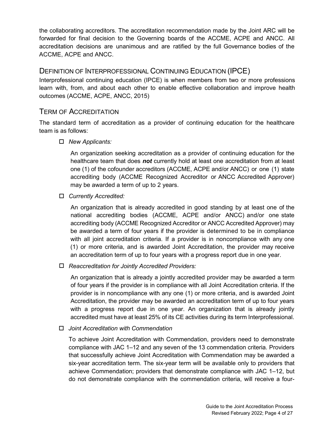the collaborating accreditors. The accreditation recommendation made by the Joint ARC will be forwarded for final decision to the Governing boards of the ACCME, ACPE and ANCC. All accreditation decisions are unanimous and are ratified by the full Governance bodies of the ACCME, ACPE and ANCC.

# <span id="page-3-0"></span>DEFINITION OF INTERPROFESSIONAL CONTINUING EDUCATION (IPCE)

Interprofessional continuing education (IPCE) is when members from two or more professions learn with, from, and about each other to enable effective collaboration and improve health outcomes (ACCME, ACPE, ANCC, 2015)

# <span id="page-3-1"></span>TERM OF ACCREDITATION

The standard term of accreditation as a provider of continuing education for the healthcare team is as follows:

# *New Applicants:*

An organization seeking accreditation as a provider of continuing education for the healthcare team that does *not* currently hold at least one accreditation from at least one (1) of the cofounder accreditors (ACCME, ACPE and/or ANCC) or one (1) state accrediting body (ACCME Recognized Accreditor or ANCC Accredited Approver) may be awarded a term of up to 2 years.

# *Currently Accredited:*

 An organization that is already accredited in good standing by at least one of the national accrediting bodies (ACCME, ACPE and/or ANCC) and/or one state accrediting body (ACCME Recognized Accreditor or ANCC Accredited Approver) may be awarded a term of four years if the provider is determined to be in compliance with all joint accreditation criteria. If a provider is in noncompliance with any one (1) or more criteria, and is awarded Joint Accreditation, the provider may receive an accreditation term of up to four years with a progress report due in one year.

# *Reaccreditation for Jointly Accredited Providers:*

An organization that is already a jointly accredited provider may be awarded a term of four years if the provider is in compliance with all Joint Accreditation criteria. If the provider is in noncompliance with any one (1) or more criteria, and is awarded Joint Accreditation, the provider may be awarded an accreditation term of up to four years with a progress report due in one year. An organization that is already jointly accredited must have at least 25% of its CE activities during its term Interprofessional.

# *Joint Accreditation with Commendation*

To achieve Joint Accreditation with Commendation, providers need to demonstrate compliance with JAC 1–12 and any seven of the 13 commendation criteria. Providers that successfully achieve Joint Accreditation with Commendation may be awarded a six-year accreditation term. The six-year term will be available only to providers that achieve Commendation; providers that demonstrate compliance with JAC 1–12, but do not demonstrate compliance with the commendation criteria, will receive a four-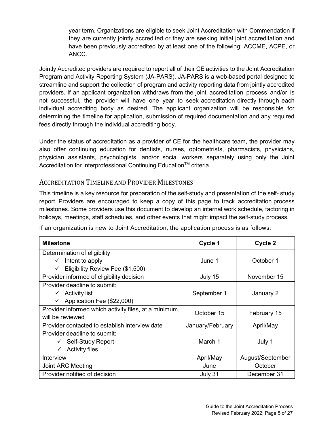year term. Organizations are eligible to seek Joint Accreditation with Commendation if they are currently jointly accredited or they are seeking initial joint accreditation and have been previously accredited by at least one of the following: ACCME, ACPE, or ANCC.

Jointly Accredited providers are required to report all of their CE activities to the Joint Accreditation Program and Activity Reporting System (JA-PARS). JA-PARS is a web-based portal designed to streamline and support the collection of program and activity reporting data from jointly accredited providers. If an applicant organization withdraws from the joint accreditation process and/or is not successful, the provider will have one year to seek accreditation directly through each individual accrediting body as desired. The applicant organization will be responsible for determining the timeline for application, submission of required documentation and any required fees directly through the individual accrediting body.

Under the status of accreditation as a provider of CE for the healthcare team, the provider may also offer continuing education for dentists, nurses, optometrists, pharmacists, physicians, physician assistants, psychologists, and/or social workers separately using only the Joint Accreditation for Interprofessional Continuing Education<sup>™</sup> criteria.

# <span id="page-4-0"></span>ACCREDITATION TIMELINE AND PROVIDER MILESTONES

This timeline is a key resource for preparation of the self-study and presentation of the self- study report. Providers are encouraged to keep a copy of this page to track accreditation process milestones. Some providers use this document to develop an internal work schedule, factoring in holidays, meetings, staff schedules, and other events that might impact the self-study process.

If an organization is new to Joint Accreditation, the application process is as follows:

| <b>Milestone</b>                                      | Cycle 1          | Cycle 2          |  |
|-------------------------------------------------------|------------------|------------------|--|
| Determination of eligibility                          |                  |                  |  |
| $\checkmark$ Intent to apply                          | June 1           | October 1        |  |
| Eligibility Review Fee (\$1,500)<br>✓                 |                  |                  |  |
| Provider informed of eligibility decision             | July 15          | November 15      |  |
| Provider deadline to submit:                          |                  |                  |  |
| $\checkmark$ Activity list                            | September 1      | January 2        |  |
| $\checkmark$ Application Fee (\$22,000)               |                  |                  |  |
| Provider informed which activity files, at a minimum, | October 15       | February 15      |  |
| will be reviewed                                      |                  |                  |  |
| Provider contacted to establish interview date        | January/February | April/May        |  |
| Provider deadline to submit:                          |                  |                  |  |
| $\checkmark$ Self-Study Report                        | March 1          | July 1           |  |
| <b>Activity files</b><br>$\checkmark$                 |                  |                  |  |
| Interview                                             | April/May        | August/September |  |
| Joint ARC Meeting                                     | June             | October          |  |
| Provider notified of decision                         | July 31          | December 31      |  |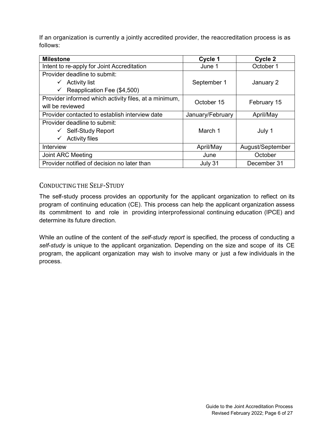If an organization is currently a jointly accredited provider, the reaccreditation process is as follows:

| <b>Milestone</b>                                      | Cycle 1          | Cycle 2          |  |
|-------------------------------------------------------|------------------|------------------|--|
| Intent to re-apply for Joint Accreditation            | June 1           | October 1        |  |
| Provider deadline to submit:                          |                  |                  |  |
| $\checkmark$ Activity list                            | September 1      | January 2        |  |
| Reapplication Fee (\$4,500)<br>✓                      |                  |                  |  |
| Provider informed which activity files, at a minimum, | October 15       | February 15      |  |
| will be reviewed                                      |                  |                  |  |
| Provider contacted to establish interview date        | January/February | April/May        |  |
| Provider deadline to submit:                          |                  |                  |  |
| $\checkmark$ Self-Study Report                        | March 1          | July 1           |  |
| <b>Activity files</b><br>✓                            |                  |                  |  |
| Interview                                             | April/May        | August/September |  |
| Joint ARC Meeting                                     | June             | October          |  |
| Provider notified of decision no later than           | July 31          | December 31      |  |

# <span id="page-5-0"></span>CONDUCTING THE SELF-STUDY

The self-study process provides an opportunity for the applicant organization to reflect on its program of continuing education (CE). This process can help the applicant organization assess its commitment to and role in providing interprofessional continuing education (IPCE) and determine its future direction.

While an outline of the content of the *self-study report* is specified, the process of conducting a *self-study* is unique to the applicant organization. Depending on the size and scope of its CE program, the applicant organization may wish to involve many or just a few individuals in the process.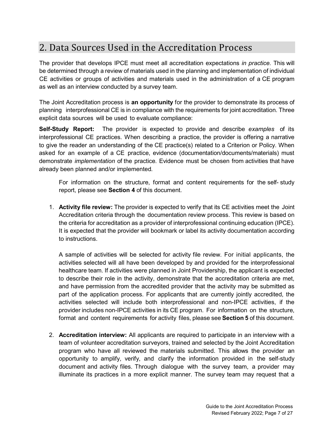# <span id="page-6-0"></span>2. Data Sources Used in the Accreditation Process

The provider that develops IPCE must meet all accreditation expectations *in practice.* This will be determined through a review of materials used in the planning and implementation of individual CE activities or groups of activities and materials used in the administration of a CE program as well as an interview conducted by a survey team.

The Joint Accreditation process is **an opportunity** for the provider to demonstrate its process of planning interprofessional CE is in compliance with the requirements for joint accreditation. Three explicit data sources will be used to evaluate compliance:

**Self-Study Report:** The provider is expected to provide and describe *examples* of its interprofessional CE practices. When describing a practice, the provider is offering a narrative to give the reader an understanding of the CE practice(s) related to a Criterion or Policy. When asked for an example of a CE practice, evidence (documentation/documents/materials) must demonstrate *implementation* of the practice. Evidence must be chosen from activities that have already been planned and/or implemented.

For information on the structure, format and content requirements for the self- study report, please see **Section 4** of this document.

1. **Activity file review:** The provider is expected to verify that its CE activities meet the Joint Accreditation criteria through the documentation review process. This review is based on the criteria for accreditation as a provider of interprofessional continuing education (IPCE). It is expected that the provider will bookmark or label its activity documentation according to instructions.

A sample of activities will be selected for activity file review. For initial applicants, the activities selected will all have been developed by and provided for the interprofessional healthcare team. If activities were planned in Joint Providership, the applicant is expected to describe their role in the activity, demonstrate that the accreditation criteria are met, and have permission from the accredited provider that the activity may be submitted as part of the application process. For applicants that are currently jointly accredited, the activities selected will include both interprofessional and non-IPCE activities, if the provider includes non-IPCE activities in its CE program. For information on the structure, format and content requirements for activity files, please see **Section 5** of this document.

2. **Accreditation interview:** All applicants are required to participate in an interview with a team of volunteer accreditation surveyors, trained and selected by the Joint Accreditation program who have all reviewed the materials submitted. This allows the provider an opportunity to amplify, verify, and clarify the information provided in the self-study document and activity files. Through dialogue with the survey team, a provider may illuminate its practices in a more explicit manner. The survey team may request that a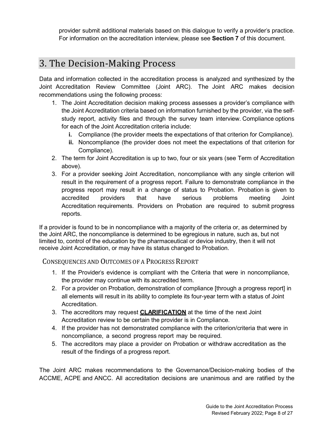provider submit additional materials based on this dialogue to verify a provider's practice. For information on the accreditation interview, please see **Section 7** of this document.

# <span id="page-7-0"></span>3. The Decision-Making Process

Data and information collected in the accreditation process is analyzed and synthesized by the Joint Accreditation Review Committee (Joint ARC). The Joint ARC makes decision recommendations using the following process:

- 1. The Joint Accreditation decision making process assesses a provider's compliance with the Joint Accreditation criteria based on information furnished by the provider, via the selfstudy report, activity files and through the survey team interview. Compliance options for each of the Joint Accreditation criteria include:
	- **i.** Compliance (the provider meets the expectations of that criterion for Compliance).
	- **ii.** Noncompliance (the provider does not meet the expectations of that criterion for Compliance).
- 2. The term for Joint Accreditation is up to two, four or six years (see Term of Accreditation above).
- 3. For a provider seeking Joint Accreditation, noncompliance with any single criterion will result in the requirement of a progress report. Failure to demonstrate compliance in the progress report may result in a change of status to Probation. Probation is given to accredited providers that have serious problems meeting Joint Accreditation requirements. Providers on Probation are required to submit progress reports.

If a provider is found to be in noncompliance with a majority of the criteria or, as determined by the Joint ARC, the noncompliance is determined to be egregious in nature, such as, but not limited to, control of the education by the pharmaceutical or device industry, then it will not receive Joint Accreditation, or may have its status changed to Probation.

<span id="page-7-1"></span>CONSEQUENCES AND OUTCOMES OF A PROGRESS REPORT

- 1. If the Provider's evidence is compliant with the Criteria that were in noncompliance, the provider may continue with its accredited term.
- 2. For a provider on Probation, demonstration of compliance [through a progress report] in all elements will result in its ability to complete its four-year term with a status of Joint Accreditation.
- 3. The accreditors may request **CLARIFICATION** at the time of the next Joint Accreditation review to be certain the provider is in Compliance.
- 4. If the provider has not demonstrated compliance with the criterion/criteria that were in noncompliance, a second progress report may be required.
- 5. The accreditors may place a provider on Probation or withdraw accreditation as the result of the findings of a progress report.

The Joint ARC makes recommendations to the Governance/Decision-making bodies of the ACCME, ACPE and ANCC. All accreditation decisions are unanimous and are ratified by the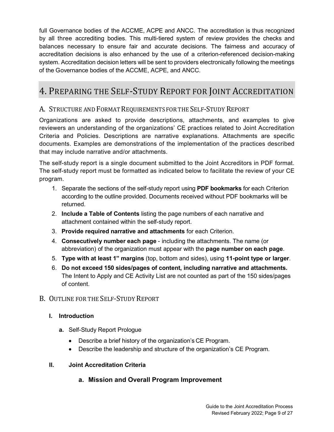full Governance bodies of the ACCME, ACPE and ANCC. The accreditation is thus recognized by all three accrediting bodies. This multi-tiered system of review provides the checks and balances necessary to ensure fair and accurate decisions. The fairness and accuracy of accreditation decisions is also enhanced by the use of a criterion-referenced decision-making system. Accreditation decision letters will be sent to providers electronically following the meetings of the Governance bodies of the ACCME, ACPE, and ANCC.

# <span id="page-8-0"></span>4. PREPARING THE SELF-STUDY REPORT FOR JOINT ACCREDITATION

# <span id="page-8-1"></span>A. STRUCTURE AND FORMAT REQUIREMENTS FOR THE SELF-STUDY REPORT

Organizations are asked to provide descriptions, attachments, and examples to give reviewers an understanding of the organizations' CE practices related to Joint Accreditation Criteria and Policies. Descriptions are narrative explanations. Attachments are specific documents. Examples are demonstrations of the implementation of the practices described that may include narrative and/or attachments.

The self-study report is a single document submitted to the Joint Accreditors in PDF format. The self-study report must be formatted as indicated below to facilitate the review of your CE program.

- 1. Separate the sections of the self-study report using **PDF bookmarks** for each Criterion according to the outline provided. Documents received without PDF bookmarks will be returned.
- 2. **Include a Table of Contents** listing the page numbers of each narrative and attachment contained within the self-study report.
- 3. **Provide required narrative and attachments** for each Criterion.
- 4. **Consecutively number each page** including the attachments. The name (or abbreviation) of the organization must appear with the **page number on each page**.
- 5. **Type with at least 1" margins** (top, bottom and sides), using **11-point type or larger**.
- 6. **Do not exceed 150 sides/pages of content, including narrative and attachments.** The Intent to Apply and CE Activity List are not counted as part of the 150 sides/pages of content.

# <span id="page-8-2"></span>B. OUTLINE FOR THE SELF-STUDY REPORT

# **I. Introduction**

- **a.** Self-Study Report Prologue
	- Describe a brief history of the organization's CE Program.
	- Describe the leadership and structure of the organization's CE Program.

# **II. Joint Accreditation Criteria**

# **a. Mission and Overall Program Improvement**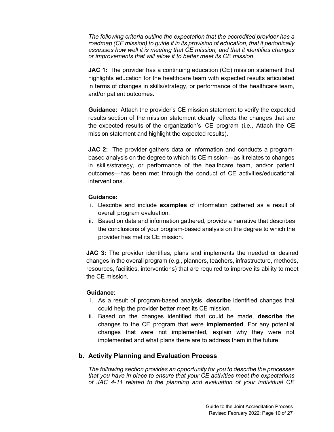*The following criteria outline the expectation that the accredited provider has a roadmap (CE mission) to guide it in its provision of education, that it periodically assesses how well it is meeting that CE mission, and that it identifies changes or improvements that will allow it to better meet its CE mission.*

**JAC 1:** The provider has a continuing education (CE) mission statement that highlights education for the healthcare team with expected results articulated in terms of changes in skills/strategy, or performance of the healthcare team, and/or patient outcomes.

**Guidance:** Attach the provider's CE mission statement to verify the expected results section of the mission statement clearly reflects the changes that are the expected results of the organization's CE program (i.e., Attach the CE mission statement and highlight the expected results).

**JAC 2:** The provider gathers data or information and conducts a programbased analysis on the degree to which its CE mission—as it relates to changes in skills/strategy, or performance of the healthcare team, and/or patient outcomes—has been met through the conduct of CE activities/educational interventions.

#### **Guidance:**

- i. Describe and include **examples** of information gathered as a result of overall program evaluation.
- ii. Based on data and information gathered, provide a narrative that describes the conclusions of your program‐based analysis on the degree to which the provider has met its CE mission.

**JAC 3:** The provider identifies, plans and implements the needed or desired changes in the overall program (e.g., planners, teachers, infrastructure, methods, resources, facilities, interventions) that are required to improve its ability to meet the CE mission.

#### **Guidance:**

- i. As a result of program-based analysis, **describe** identified changes that could help the provider better meet its CE mission.
- ii. Based on the changes identified that could be made, **describe** the changes to the CE program that were **implemented**. For any potential changes that were not implemented, explain why they were not implemented and what plans there are to address them in the future.

#### **b. Activity Planning and Evaluation Process**

*The following section provides an opportunity for you to describe the processes that you have in place to ensure that your CE activities meet the expectations of JAC 4-11 related to the planning and evaluation of your individual CE*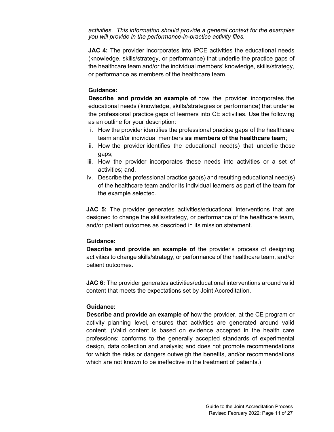*activities. This information should provide a general context for the examples you will provide in the performance-in-practice activity files.*

**JAC 4:** The provider incorporates into IPCE activities the educational needs (knowledge, skills/strategy, or performance) that underlie the practice gaps of the healthcare team and/or the individual members' knowledge, skills/strategy, or performance as members of the healthcare team.

#### **Guidance:**

**Describe and provide an example of** how the provider incorporates the educational needs (knowledge, skills/strategies or performance) that underlie the professional practice gaps of learners into CE activities. Use the following as an outline for your description:

- i. How the provider identifies the professional practice gaps of the healthcare team and/or individual members **as members of the healthcare team**;
- ii. How the provider identifies the educational need(s) that underlie those gaps;
- iii. How the provider incorporates these needs into activities or a set of activities; and,
- iv. Describe the professional practice gap(s) and resulting educational need(s) of the healthcare team and/or its individual learners as part of the team for the example selected.

**JAC 5:** The provider generates activities/educational interventions that are designed to change the skills/strategy, or performance of the healthcare team, and/or patient outcomes as described in its mission statement.

#### **Guidance:**

**Describe and provide an example of** the provider's process of designing activities to change skills/strategy, or performance of the healthcare team, and/or patient outcomes.

**JAC 6:** The provider generates activities/educational interventions around valid content that meets the expectations set by Joint Accreditation.

#### **Guidance:**

**Describe and provide an example of** how the provider, at the CE program or activity planning level, ensures that activities are generated around valid content. (Valid content is based on evidence accepted in the health care professions; conforms to the generally accepted standards of experimental design, data collection and analysis; and does not promote recommendations for which the risks or dangers outweigh the benefits, and/or recommendations which are not known to be ineffective in the treatment of patients.)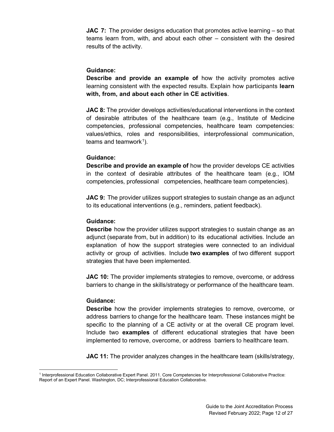**JAC 7:** The provider designs education that promotes active learning – so that teams learn from, with, and about each other – consistent with the desired results of the activity.

#### **Guidance:**

**Describe and provide an example of** how the activity promotes active learning consistent with the expected results. Explain how participants **learn with, from, and about each other in CE activities**.

**JAC 8:** The provider develops activities/educational interventions in the context of desirable attributes of the healthcare team (e.g., Institute of Medicine competencies, professional competencies, healthcare team competencies: values/ethics, roles and responsibilities, interprofessional communication, teams and teamwork $^1$  $^1$ ).

#### **Guidance:**

**Describe and provide an example of** how the provider develops CE activities in the context of desirable attributes of the healthcare team (e.g., IOM competencies, professional competencies, healthcare team competencies).

**JAC 9:** The provider utilizes support strategies to sustain change as an adjunct to its educational interventions (e.g., reminders, patient feedback).

#### **Guidance:**

**Describe** how the provider utilizes support strategies to sustain change as an adjunct (separate from, but in addition) to its educational activities. Include an explanation of how the support strategies were connected to an individual activity or group of activities. Include **two examples** of two different support strategies that have been implemented.

**JAC 10:** The provider implements strategies to remove, overcome, or address barriers to change in the skills/strategy or performance of the healthcare team.

#### **Guidance:**

**Describe** how the provider implements strategies to remove, overcome, or address barriers to change for the healthcare team. These instances might be specific to the planning of a CE activity or at the overall CE program level. Include two **examples** of different educational strategies that have been implemented to remove, overcome, or address barriers to healthcare team.

**JAC 11:** The provider analyzes changes in the healthcare team (skills/strategy,

<span id="page-11-0"></span><sup>1</sup> Interprofessional Education Collaborative Expert Panel. 2011. Core Competencies for Interprofessional Collaborative Practice: Report of an Expert Panel. Washington, DC; Interprofessional Education Collaborative.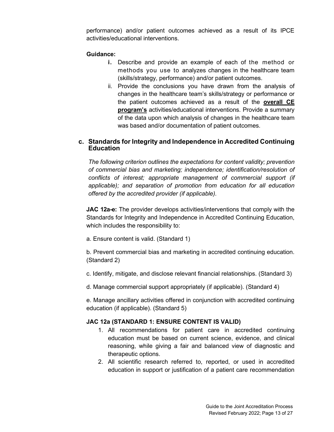performance) and/or patient outcomes achieved as a result of its IPCE activities/educational interventions.

#### **Guidance:**

- **i.** Describe and provide an example of each of the method or methods you use to analyzes changes in the healthcare team (skills/strategy, performance) and/or patient outcomes.
- ii. Provide the conclusions you have drawn from the analysis of changes in the healthcare team's skills/strategy or performance or the patient outcomes achieved as a result of the **overall CE program's** activities/educational interventions. Provide a summary of the data upon which analysis of changes in the healthcare team was based and/or documentation of patient outcomes.

## **c. Standards for Integrity and Independence in Accredited Continuing Education**

*The following criterion outlines the expectations for content validity; prevention of commercial bias and marketing; independence; identification/resolution of conflicts of interest; appropriate management of commercial support (if applicable); and separation of promotion from education for all education offered by the accredited provider (if applicable).*

**JAC 12a-e:** The provider develops activities/interventions that comply with the Standards for Integrity and Independence in Accredited Continuing Education, which includes the responsibility to:

a. Ensure content is valid. (Standard 1)

b. Prevent commercial bias and marketing in accredited continuing education. (Standard 2)

- c. Identify, mitigate, and disclose relevant financial relationships. (Standard 3)
- d. Manage commercial support appropriately (if applicable). (Standard 4)

e. Manage ancillary activities offered in conjunction with accredited continuing education (if applicable). (Standard 5)

#### **JAC 12a (STANDARD 1: ENSURE CONTENT IS VALID)**

- 1. All recommendations for patient care in accredited continuing education must be based on current science, evidence, and clinical reasoning, while giving a fair and balanced view of diagnostic and therapeutic options.
- 2. All scientific research referred to, reported, or used in accredited education in support or justification of a patient care recommendation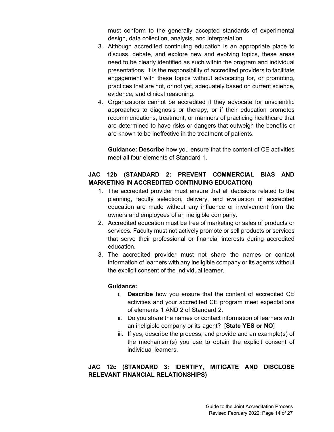must conform to the generally accepted standards of experimental design, data collection, analysis, and interpretation.

- 3. Although accredited continuing education is an appropriate place to discuss, debate, and explore new and evolving topics, these areas need to be clearly identified as such within the program and individual presentations. It is the responsibility of accredited providers to facilitate engagement with these topics without advocating for, or promoting, practices that are not, or not yet, adequately based on current science, evidence, and clinical reasoning.
- 4. Organizations cannot be accredited if they advocate for unscientific approaches to diagnosis or therapy, or if their education promotes recommendations, treatment, or manners of practicing healthcare that are determined to have risks or dangers that outweigh the benefits or are known to be ineffective in the treatment of patients.

**Guidance: Describe** how you ensure that the content of CE activities meet all four elements of Standard 1.

# **JAC 12b (STANDARD 2: PREVENT COMMERCIAL BIAS AND MARKETING IN ACCREDITED CONTINUING EDUCATION)**

- 1. The accredited provider must ensure that all decisions related to the planning, faculty selection, delivery, and evaluation of accredited education are made without any influence or involvement from the owners and employees of an ineligible company.
- 2. Accredited education must be free of marketing or sales of products or services. Faculty must not actively promote or sell products or services that serve their professional or financial interests during accredited education.
- 3. The accredited provider must not share the names or contact information of learners with any ineligible company or its agents without the explicit consent of the individual learner.

# **Guidance:**

- i. **Describe** how you ensure that the content of accredited CE activities and your accredited CE program meet expectations of elements 1 AND 2 of Standard 2.
- ii. Do you share the names or contact information of learners with an ineligible company or its agent? [**State YES or NO**]
- iii. If yes, describe the process, and provide and an example(s) of the mechanism(s) you use to obtain the explicit consent of individual learners.

# **JAC 12c (STANDARD 3: IDENTIFY, MITIGATE AND DISCLOSE RELEVANT FINANCIAL RELATIONSHIPS)**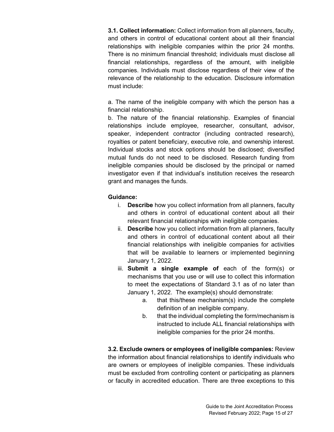**3.1. Collect information:** Collect information from all planners, faculty, and others in control of educational content about all their financial relationships with ineligible companies within the prior 24 months. There is no minimum financial threshold; individuals must disclose all financial relationships, regardless of the amount, with ineligible companies. Individuals must disclose regardless of their view of the relevance of the relationship to the education. Disclosure information must include:

a. The name of the ineligible company with which the person has a financial relationship.

b. The nature of the financial relationship. Examples of financial relationships include employee, researcher, consultant, advisor, speaker, independent contractor (including contracted research), royalties or patent beneficiary, executive role, and ownership interest. Individual stocks and stock options should be disclosed; diversified mutual funds do not need to be disclosed. Research funding from ineligible companies should be disclosed by the principal or named investigator even if that individual's institution receives the research grant and manages the funds.

### **Guidance:**

- i. **Describe** how you collect information from all planners, faculty and others in control of educational content about all their relevant financial relationships with ineligible companies.
- ii. **Describe** how you collect information from all planners, faculty and others in control of educational content about all their financial relationships with ineligible companies for activities that will be available to learners or implemented beginning January 1, 2022.
- iii. **Submit a single example of** each of the form(s) or mechanisms that you use or will use to collect this information to meet the expectations of Standard 3.1 as of no later than January 1, 2022. The example(s) should demonstrate:
	- a. that this/these mechanism(s) include the complete definition of an ineligible company.
	- b. that the individual completing the form/mechanism is instructed to include ALL financial relationships with ineligible companies for the prior 24 months.

**3.2. Exclude owners or employees of ineligible companies:** Review the information about financial relationships to identify individuals who are owners or employees of ineligible companies. These individuals must be excluded from controlling content or participating as planners or faculty in accredited education. There are three exceptions to this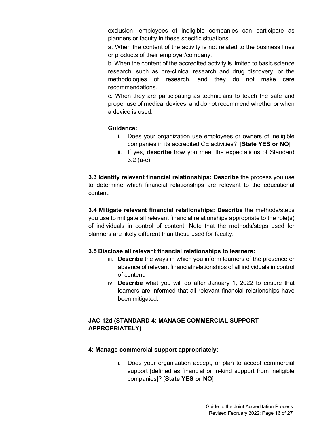exclusion—employees of ineligible companies can participate as planners or faculty in these specific situations:

a. When the content of the activity is not related to the business lines or products of their employer/company.

b. When the content of the accredited activity is limited to basic science research, such as pre-clinical research and drug discovery, or the methodologies of research, and they do not make care recommendations.

c. When they are participating as technicians to teach the safe and proper use of medical devices, and do not recommend whether or when a device is used.

### **Guidance:**

- i. Does your organization use employees or owners of ineligible companies in its accredited CE activities? [**State YES or NO**]
- ii. If yes, **describe** how you meet the expectations of Standard 3.2 (a-c).

**3.3 Identify relevant financial relationships: Describe** the process you use to determine which financial relationships are relevant to the educational content.

**3.4 Mitigate relevant financial relationships: Describe** the methods/steps you use to mitigate all relevant financial relationships appropriate to the role(s) of individuals in control of content. Note that the methods/steps used for planners are likely different than those used for faculty.

# **3.5 Disclose all relevant financial relationships to learners:**

- iii. **Describe** the ways in which you inform learners of the presence or absence of relevant financial relationships of all individuals in control of content.
- iv. **Describe** what you will do after January 1, 2022 to ensure that learners are informed that all relevant financial relationships have been mitigated.

# **JAC 12d (STANDARD 4: MANAGE COMMERCIAL SUPPORT APPROPRIATELY)**

#### **4: Manage commercial support appropriately:**

i. Does your organization accept, or plan to accept commercial support [defined as financial or in-kind support from ineligible companies]? [**State YES or NO**]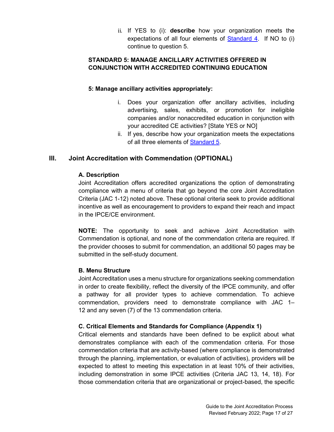ii. If YES to (i): **describe** how your organization meets the expectations of all four elements of [Standard 4.](https://accme.org/accreditation-rules/standards-for-integrity-independence-accredited-ce/standard-4-manage-commercial-support-appropriately) If NO to (i) continue to question 5.

# **STANDARD 5: MANAGE ANCILLARY ACTIVITIES OFFERED IN CONJUNCTION WITH ACCREDITED CONTINUING EDUCATION**

# **5: Manage ancillary activities appropriately:**

- i. Does your organization offer ancillary activities, including advertising, sales, exhibits, or promotion for ineligible companies and/or nonaccredited education in conjunction with your accredited CE activities? [State YES or NO]
- ii. If yes, describe how your organization meets the expectations of all three elements of [Standard 5.](https://accme.org/accreditation-rules/standards-for-integrity-independence-accredited-ce/standard-5-manage-ancillary-activities-offered-conjunction-accredited)

# **III. Joint Accreditation with Commendation (OPTIONAL)**

### **A. Description**

Joint Accreditation offers accredited organizations the option of demonstrating compliance with a menu of criteria that go beyond the core Joint Accreditation Criteria (JAC 1-12) noted above. These optional criteria seek to provide additional incentive as well as encouragement to providers to expand their reach and impact in the IPCE/CE environment.

**NOTE:** The opportunity to seek and achieve Joint Accreditation with Commendation is optional, and none of the commendation criteria are required. If the provider chooses to submit for commendation, an additional 50 pages may be submitted in the self-study document.

#### **B. Menu Structure**

Joint Accreditation uses a menu structure for organizations seeking commendation in order to create flexibility, reflect the diversity of the IPCE community, and offer a pathway for all provider types to achieve commendation. To achieve commendation, providers need to demonstrate compliance with JAC 1– 12 and any seven (7) of the 13 commendation criteria.

#### **C. Critical Elements and Standards for Compliance (Appendix 1)**

Critical elements and standards have been defined to be explicit about what demonstrates compliance with each of the commendation criteria. For those commendation criteria that are activity-based (where compliance is demonstrated through the planning, implementation, or evaluation of activities), providers will be expected to attest to meeting this expectation in at least 10% of their activities, including demonstration in some IPCE activities (Criteria JAC 13, 14, 18). For those commendation criteria that are organizational or project-based, the specific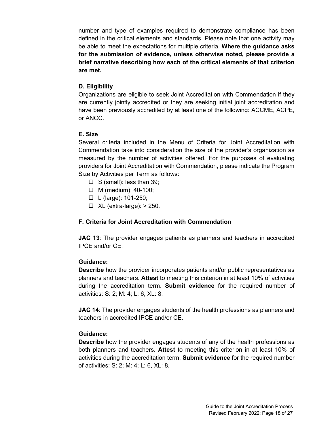number and type of examples required to demonstrate compliance has been defined in the critical elements and standards. Please note that one activity may be able to meet the expectations for multiple criteria. **Where the guidance asks for the submission of evidence, unless otherwise noted, please provide a brief narrative describing how each of the critical elements of that criterion are met.**

### **D. Eligibility**

Organizations are eligible to seek Joint Accreditation with Commendation if they are currently jointly accredited or they are seeking initial joint accreditation and have been previously accredited by at least one of the following: ACCME, ACPE, or ANCC.

### **E. Size**

Several criteria included in the Menu of Criteria for Joint Accreditation with Commendation take into consideration the size of the provider's organization as measured by the number of activities offered. For the purposes of evaluating providers for Joint Accreditation with Commendation, please indicate the Program Size by Activities per Term as follows:

- $\Box$  S (small): less than 39;
- $\Box$  M (medium): 40-100;
- $\Box$  L (large): 101-250;
- $\Box$  XL (extra-large):  $> 250$ .

#### **F. Criteria for Joint Accreditation with Commendation**

**JAC 13**: The provider engages patients as planners and teachers in accredited IPCE and/or CE.

#### **Guidance:**

**Describe** how the provider incorporates patients and/or public representatives as planners and teachers. **Attest** to meeting this criterion in at least 10% of activities during the accreditation term. **Submit evidence** for the required number of activities: S: 2; M: 4; L: 6, XL: 8.

**JAC 14**: The provider engages students of the health professions as planners and teachers in accredited IPCE and/or CE.

#### **Guidance:**

**Describe** how the provider engages students of any of the health professions as both planners and teachers. **Attest** to meeting this criterion in at least 10% of activities during the accreditation term. **Submit evidence** for the required number of activities: S: 2; M: 4; L: 6, XL: 8.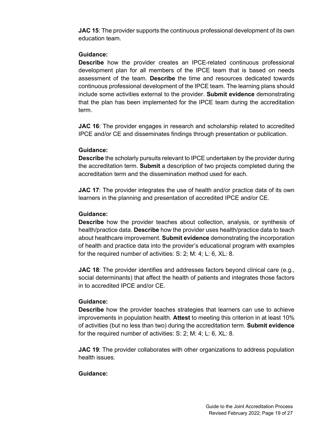**JAC 15:** The provider supports the continuous professional development of its own education team.

### **Guidance:**

**Describe** how the provider creates an IPCE-related continuous professional development plan for all members of the IPCE team that is based on needs assessment of the team. **Describe** the time and resources dedicated towards continuous professional development of the IPCE team. The learning plans should include some activities external to the provider. **Submit evidence** demonstrating that the plan has been implemented for the IPCE team during the accreditation term.

**JAC 16:** The provider engages in research and scholarship related to accredited IPCE and/or CE and disseminates findings through presentation or publication.

### **Guidance:**

**Describe** the scholarly pursuits relevant to IPCE undertaken by the provider during the accreditation term. **Submit** a description of two projects completed during the accreditation term and the dissemination method used for each.

**JAC 17:** The provider integrates the use of health and/or practice data of its own learners in the planning and presentation of accredited IPCE and/or CE.

## **Guidance:**

**Describe** how the provider teaches about collection, analysis, or synthesis of health/practice data. **Describe** how the provider uses health/practice data to teach about healthcare improvement. **Submit evidence** demonstrating the incorporation of health and practice data into the provider's educational program with examples for the required number of activities: S: 2; M: 4; L: 6, XL: 8.

**JAC 18**: The provider identifies and addresses factors beyond clinical care (e.g., social determinants) that affect the health of patients and integrates those factors in to accredited IPCE and/or CE.

#### **Guidance:**

**Describe** how the provider teaches strategies that learners can use to achieve improvements in population health. **Attest** to meeting this criterion in at least 10% of activities (but no less than two) during the accreditation term. **Submit evidence** for the required number of activities: S: 2; M: 4; L: 6, XL: 8.

**JAC 19**: The provider collaborates with other organizations to address population health issues.

#### **Guidance:**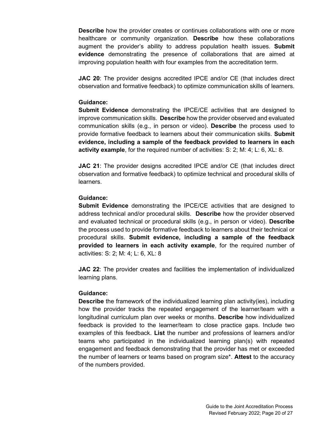**Describe** how the provider creates or continues collaborations with one or more healthcare or community organization. **Describe** how these collaborations augment the provider's ability to address population health issues. **Submit evidence** demonstrating the presence of collaborations that are aimed at improving population health with four examples from the accreditation term.

**JAC 20**: The provider designs accredited IPCE and/or CE (that includes direct observation and formative feedback) to optimize communication skills of learners.

#### **Guidance:**

**Submit Evidence** demonstrating the IPCE/CE activities that are designed to improve communication skills. **Describe** how the provider observed and evaluated communication skills (e.g., in person or video). **Describe** the process used to provide formative feedback to learners about their communication skills. **Submit evidence, including a sample of the feedback provided to learners in each activity example**, for the required number of activities: S: 2; M: 4; L: 6, XL: 8.

**JAC 21**: The provider designs accredited IPCE and/or CE (that includes direct observation and formative feedback) to optimize technical and procedural skills of learners.

#### **Guidance:**

**Submit Evidence** demonstrating the IPCE/CE activities that are designed to address technical and/or procedural skills. **Describe** how the provider observed and evaluated technical or procedural skills (e.g., in person or video). **Describe** the process used to provide formative feedback to learners about their technical or procedural skills. **Submit evidence, including a sample of the feedback provided to learners in each activity example**, for the required number of activities: S: 2; M: 4; L: 6, XL: 8

**JAC 22**: The provider creates and facilities the implementation of individualized learning plans.

#### **Guidance:**

**Describe** the framework of the individualized learning plan activity(ies), including how the provider tracks the repeated engagement of the learner/team with a longitudinal curriculum plan over weeks or months. **Describe** how individualized feedback is provided to the learner/team to close practice gaps. Include two examples of this feedback. **List** the number and professions of learners and/or teams who participated in the individualized learning plan(s) with repeated engagement and feedback demonstrating that the provider has met or exceeded the number of learners or teams based on program size\*. **Attest** to the accuracy of the numbers provided.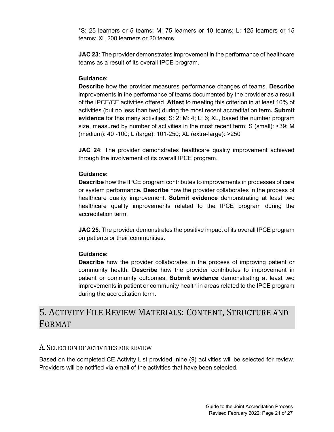\*S: 25 learners or 5 teams; M: 75 learners or 10 teams; L: 125 learners or 15 teams; XL 200 learners or 20 teams.

**JAC 23**: The provider demonstrates improvement in the performance of healthcare teams as a result of its overall IPCE program.

### **Guidance:**

**Describe** how the provider measures performance changes of teams. **Describe**  improvements in the performance of teams documented by the provider as a result of the IPCE/CE activities offered. **Attest** to meeting this criterion in at least 10% of activities (but no less than two) during the most recent accreditation term**. Submit evidence** for this many activities: S: 2; M: 4; L: 6; XL, based the number program size, measured by number of activities in the most recent term: S (small): <39; M (medium): 40 -100; L (large): 101-250; XL (extra-large): >250

**JAC 24:** The provider demonstrates healthcare quality improvement achieved through the involvement of its overall IPCE program.

#### **Guidance:**

**Describe** how the IPCE program contributes to improvements in processes of care or system performance**. Describe** how the provider collaborates in the process of healthcare quality improvement. **Submit evidence** demonstrating at least two healthcare quality improvements related to the IPCE program during the accreditation term.

**JAC 25**: The provider demonstrates the positive impact of its overall IPCE program on patients or their communities.

# **Guidance:**

**Describe** how the provider collaborates in the process of improving patient or community health. **Describe** how the provider contributes to improvement in patient or community outcomes. **Submit evidence** demonstrating at least two improvements in patient or community health in areas related to the IPCE program during the accreditation term.

# <span id="page-20-0"></span>5. ACTIVITY FILE REVIEW MATERIALS: CONTENT, STRUCTURE AND FORMAT

# <span id="page-20-1"></span>A. SELECTION OF ACTIVITIES FOR REVIEW

Based on the completed CE Activity List provided, nine (9) activities will be selected for review. Providers will be notified via email of the activities that have been selected.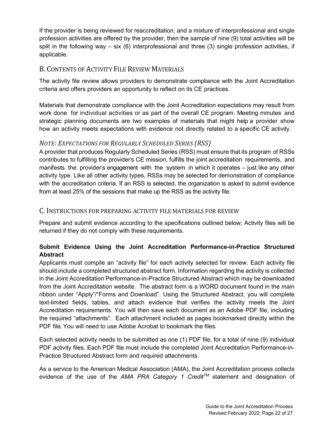If the provider is being reviewed for reaccreditation, and a mixture of interprofessional and single profession activities are offered by the provider, then the sample of nine (9) total activities will be split in the following way  $-$  six (6) interprofessional and three (3) single profession activities, if applicable.

# <span id="page-21-0"></span>B. CONTENTS OF ACTIVITY FILE REVIEW MATERIALS

The activity file review allows providers to demonstrate compliance with the Joint Accreditation criteria and offers providers an opportunity to reflect on its CE practices.

Materials that demonstrate compliance with the Joint Accreditation expectations may result from work done for individual activities or as part of the overall CE program. Meeting minutes and strategic planning documents are two examples of materials that might help a provider show how an activity meets expectations with evidence not directly related to a specific CE activity.

# <span id="page-21-1"></span>*NOTE: EXPECTATIONS FOR REGULARLY SCHEDULED SERIES (RSS)*

A provider that produces Regularly Scheduled Series (RSS) must ensure that its program of RSSs contributes to fulfilling the provider's CE mission, fulfills the joint accreditation requirements, and manifests the provider's engagement with the system in which it operates – just like any other activity type. Like all other activity types, RSSs may be selected for demonstration of compliance with the accreditation criteria. If an RSS is selected, the organization is asked to submit evidence from at least 25% of the sessions that make up the RSS as the activity file.

# <span id="page-21-2"></span>C. INSTRUCTIONS FOR PREPARING ACTIVITY FILE MATERIALS FOR REVIEW

Prepare and submit evidence according to the specifications outlined below; Activity files will be returned if they do not comply with these requirements.

# **Submit Evidence Using the Joint Accreditation Performance-in-Practice Structured Abstract**

Applicants must compile an "activity file" for each activity selected for review. Each activity file should include a completed structured abstract form. Information regarding the activity is collected in the Joint Accreditation Performance-in-Practice Structured Abstract which may be downloaded from the Joint Accreditation website. The abstract form is a WORD document found in the main ribbon under "Apply"/"Forms and Download". Using the Structured Abstract, you will complete text-limited fields, tables, and attach evidence that verifies the activity meets the Joint Accreditation requirements. You will then save each document as an Adobe PDF file, including the required "attachments". Each attachment included as pages bookmarked directly within the PDF file. You will need to use Adobe Acrobat to bookmark the files.

<span id="page-21-3"></span>Each selected activity needs to be submitted as one (1) PDF file, for a total of nine (9) individual PDF activity files. Each PDF file must include the completed Joint Accreditation Performance-in-Practice Structured Abstract form and required attachments.

As a service to the American Medical Association (AMA), the Joint Accreditation process collects evidence of the use of the *AMA PRA Category 1 CreditTM* statement and designation of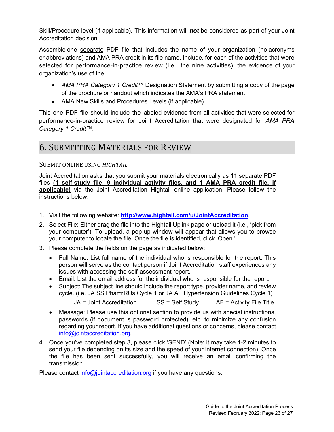Skill/Procedure level (if applicable). This information will *not* be considered as part of your Joint Accreditation decision.

Assemble one separate PDF file that includes the name of your organization (no acronyms or abbreviations) and AMA PRA credit in its file name. Include, for each of the activities that were selected for performance-in-practice review (i.e., the nine activities), the evidence of your organization's use of the:

- *AMA PRA Category 1 Credit™* Designation Statement by submitting a copy of the page of the brochure or handout which indicates the AMA's PRA statement
- AMA New Skills and Procedures Levels (if applicable)

This one PDF file should include the labeled evidence from all activities that were selected for performance-in-practice review for Joint Accreditation that were designated for *AMA PRA Category 1 Credit™*.

# <span id="page-22-0"></span>6. SUBMITTING MATERIALS FOR REVIEW

# <span id="page-22-1"></span>SUBMIT ONLINE USING *HIGHTAIL*

Joint Accreditation asks that you submit your materials electronically as 11 separate PDF files **(1 self-study file, 9 individual activity files, and 1 AMA PRA credit file, if applicable)** via the Joint Accreditation Hightail online application. Please follow the instructions below:

- 1. Visit the following website: **<http://www.hightail.com/u/JointAccreditation>**.
- 2. Select File: Either drag the file into the Hightail Uplink page or upload it (i.e., 'pick from your computer'). To upload, a pop-up window will appear that allows you to browse your computer to locate the file. Once the file is identified, click 'Open.'
- 3. Please complete the fields on the page as indicated below:
	- Full Name: List full name of the individual who is responsible for the report. This person will serve as the contact person if Joint Accreditation staff experiences any issues with accessing the self-assessment report.
	- Email: List the email address for the individual who is responsible for the report.
	- Subject: The subject line should include the report type, provider name, and review cycle. (i.e. JA SS PharmRUs Cycle 1 or JA AF Hypertension Guidelines Cycle 1)

JA = Joint Accreditation SS = Self Study AF = Activity File Title

- Message: Please use this optional section to provide us with special instructions, passwords (if document is password protected), etc. to minimize any confusion regarding your report. If you have additional questions or concerns, please contact [info@jointaccreditation.org.](mailto:info@jointaccreditation.org)
- 4. Once you've completed step 3, please click 'SEND' (Note: it may take 1-2 minutes to send your file depending on its size and the speed of your internet connection). Once the file has been sent successfully, you will receive an email confirming the transmission.

Please contact [info@jointaccreditation.org](mailto:info@jointaccreditation.org) if you have any questions.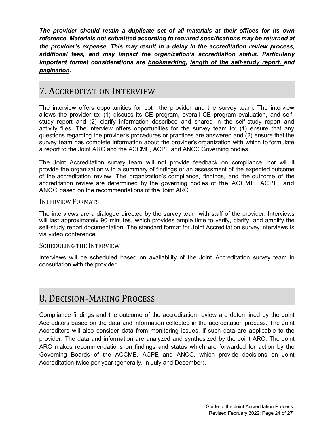*The provider should retain a duplicate set of all materials at their offices for its own reference. Materials not submitted according to required specifications may be returned at the provider's expense. This may result in a delay in the accreditation review process, additional fees, and may impact the organization's accreditation status. Particularly important format considerations are bookmarking, length of the self-study report, and pagination.*

# <span id="page-23-0"></span>7. ACCREDITATION INTERVIEW

The interview offers opportunities for both the provider and the survey team. The interview allows the provider to: (1) discuss its CE program, overall CE program evaluation, and selfstudy report and (2) clarify information described and shared in the self-study report and activity files. The interview offers opportunities for the survey team to: (1) ensure that any questions regarding the provider's procedures or practices are answered and (2) ensure that the survey team has complete information about the provider's organization with which to formulate a report to the Joint ARC and the ACCME, ACPE and ANCC Governing bodies.

The Joint Accreditation survey team will not provide feedback on compliance, nor will it provide the organization with a summary of findings or an assessment of the expected outcome of the accreditation review. The organization's compliance, findings, and the outcome of the accreditation review are determined by the governing bodies of the ACCME, ACPE, and ANCC based on the recommendations of the Joint ARC.

## <span id="page-23-1"></span>INTERVIEW FORMATS

The interviews are a dialogue directed by the survey team with staff of the provider. Interviews will last approximately 90 minutes, which provides ample time to verify, clarify, and amplify the self-study report documentation. The standard format for Joint Accreditation survey interviews is via video conference.

#### <span id="page-23-2"></span>SCHEDULING THE INTERVIEW

Interviews will be scheduled based on availability of the Joint Accreditation survey team in consultation with the provider.

# <span id="page-23-3"></span>8. DECISION-MAKING PROCESS

Compliance findings and the outcome of the accreditation review are determined by the Joint Accreditors based on the data and information collected in the accreditation process. The Joint Accreditors will also consider data from monitoring issues, if such data are applicable to the provider. The data and information are analyzed and synthesized by the Joint ARC. The Joint ARC makes recommendations on findings and status which are forwarded for action by the Governing Boards of the ACCME, ACPE and ANCC, which provide decisions on Joint Accreditation twice per year (generally, in July and December).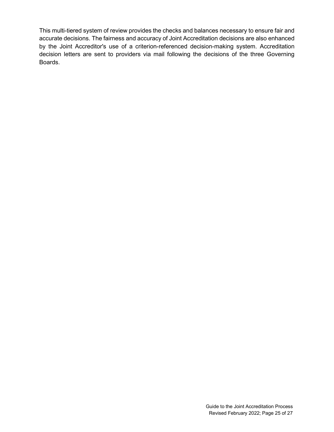This multi-tiered system of review provides the checks and balances necessary to ensure fair and accurate decisions. The fairness and accuracy of Joint Accreditation decisions are also enhanced by the Joint Accreditor's use of a criterion-referenced decision-making system. Accreditation decision letters are sent to providers via mail following the decisions of the three Governing Boards.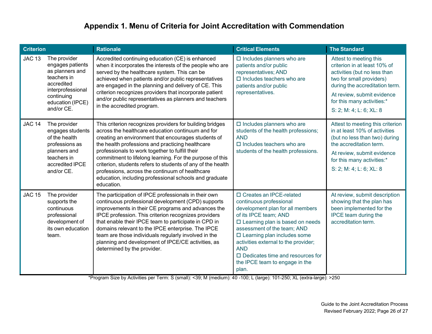| <b>Criterion</b> |                                                                                                                                                       | <b>Rationale</b>                                                                                                                                                                                                                                                                                                                                                                                                                                                                                                                  | <b>Critical Elements</b>                                                                                                                                                                                                                                                                                                                                                              | <b>The Standard</b>                                                                                                                                                                                                                         |
|------------------|-------------------------------------------------------------------------------------------------------------------------------------------------------|-----------------------------------------------------------------------------------------------------------------------------------------------------------------------------------------------------------------------------------------------------------------------------------------------------------------------------------------------------------------------------------------------------------------------------------------------------------------------------------------------------------------------------------|---------------------------------------------------------------------------------------------------------------------------------------------------------------------------------------------------------------------------------------------------------------------------------------------------------------------------------------------------------------------------------------|---------------------------------------------------------------------------------------------------------------------------------------------------------------------------------------------------------------------------------------------|
| <b>JAC 13</b>    | The provider<br>engages patients<br>as planners and<br>teachers in<br>accredited<br>interprofessional<br>continuing<br>education (IPCE)<br>and/or CE. | Accredited continuing education (CE) is enhanced<br>when it incorporates the interests of the people who are<br>served by the healthcare system. This can be<br>achieved when patients and/or public representatives<br>are engaged in the planning and delivery of CE. This<br>criterion recognizes providers that incorporate patient<br>and/or public representatives as planners and teachers<br>in the accredited program.                                                                                                   | $\square$ Includes planners who are<br>patients and/or public<br>representatives; AND<br>$\Box$ Includes teachers who are<br>patients and/or public<br>representatives.                                                                                                                                                                                                               | Attest to meeting this<br>criterion in at least 10% of<br>activities (but no less than<br>two for small providers)<br>during the accreditation term.<br>At review, submit evidence<br>for this many activities:*<br>S: 2; M: 4; L: 6; XL: 8 |
| <b>JAC 14</b>    | The provider<br>engages students<br>of the health<br>professions as<br>planners and<br>teachers in<br>accredited IPCE<br>and/or CE.                   | This criterion recognizes providers for building bridges<br>across the healthcare education continuum and for<br>creating an environment that encourages students of<br>the health professions and practicing healthcare<br>professionals to work together to fulfill their<br>commitment to lifelong learning. For the purpose of this<br>criterion, students refers to students of any of the health<br>professions, across the continuum of healthcare<br>education, including professional schools and graduate<br>education. | $\square$ Includes planners who are<br>students of the health professions;<br><b>AND</b><br>$\Box$ Includes teachers who are<br>students of the health professions.                                                                                                                                                                                                                   | Attest to meeting this criterion<br>in at least 10% of activities<br>(but no less than two) during<br>the accreditation term.<br>At review, submit evidence<br>for this many activities:*<br>S: 2; M: 4; L: 6; XL: 8                        |
| <b>JAC 15</b>    | The provider<br>supports the<br>continuous<br>professional<br>development of<br>its own education<br>team.                                            | The participation of IPCE professionals in their own<br>continuous professional development (CPD) supports<br>improvements in their CE programs and advances the<br>IPCE profession. This criterion recognizes providers<br>that enable their IPCE team to participate in CPD in<br>domains relevant to the IPCE enterprise. The IPCE<br>team are those individuals regularly involved in the<br>planning and development of IPCE/CE activities, as<br>determined by the provider.                                                | □ Creates an IPCE-related<br>continuous professional<br>development plan for all members<br>of its IPCE team; AND<br>$\square$ Learning plan is based on needs<br>assessment of the team; AND<br>$\square$ Learning plan includes some<br>activities external to the provider;<br><b>AND</b><br>$\square$ Dedicates time and resources for<br>the IPCE team to engage in the<br>plan. | At review, submit description<br>showing that the plan has<br>been implemented for the<br>IPCE team during the<br>accreditation term.                                                                                                       |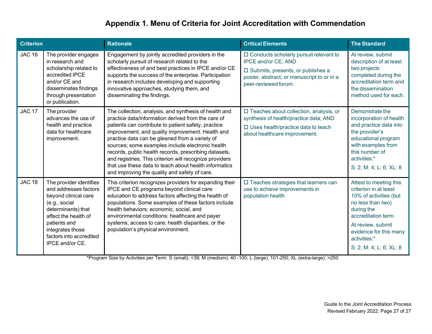| <b>Criterion</b> |                                                                                                                                                                                                                           | <b>Rationale</b>                                                                                                                                                                                                                                                                                                                                                                                                                                                                                                                                           | <b>Critical Elements</b>                                                                                                                                                     | <b>The Standard</b>                                                                                                                                                                                                           |
|------------------|---------------------------------------------------------------------------------------------------------------------------------------------------------------------------------------------------------------------------|------------------------------------------------------------------------------------------------------------------------------------------------------------------------------------------------------------------------------------------------------------------------------------------------------------------------------------------------------------------------------------------------------------------------------------------------------------------------------------------------------------------------------------------------------------|------------------------------------------------------------------------------------------------------------------------------------------------------------------------------|-------------------------------------------------------------------------------------------------------------------------------------------------------------------------------------------------------------------------------|
| <b>JAC 16</b>    | The provider engages<br>in research and<br>scholarship related to<br>accredited IPCE<br>and/or CE and<br>disseminates findings<br>through presentation<br>or publication.                                                 | Engagement by jointly accredited providers in the<br>scholarly pursuit of research related to the<br>effectiveness of and best practices in IPCE and/or CE<br>supports the success of the enterprise. Participation<br>in research includes developing and supporting<br>innovative approaches, studying them, and<br>disseminating the findings.                                                                                                                                                                                                          | □ Conducts scholarly pursuit relevant to<br>IPCE and/or CE; AND<br>□ Submits, presents, or publishes a<br>poster, abstract, or manuscript to or in a<br>peer-reviewed forum. | At review, submit<br>description of at least<br>two projects<br>completed during the<br>accreditation term and<br>the dissemination<br>method used for each.                                                                  |
| <b>JAC 17</b>    | The provider<br>advances the use of<br>health and practice<br>data for healthcare<br>improvement.                                                                                                                         | The collection, analysis, and synthesis of health and<br>practice data/information derived from the care of<br>patients can contribute to patient safety, practice<br>improvement, and quality improvement. Health and<br>practice data can be gleaned from a variety of<br>sources; some examples include electronic health<br>records, public health records, prescribing datasets,<br>and registries. This criterion will recognize providers<br>that use these data to teach about health informatics<br>and improving the quality and safety of care. | □ Teaches about collection, analysis, or<br>synthesis of health/practice data; AND<br>$\square$ Uses health/practice data to teach<br>about healthcare improvement.          | Demonstrate the<br>incorporation of health<br>and practice data into<br>the provider's<br>educational program<br>with examples from<br>this number of<br>activities:*<br>S: 2; M: 4; L: 6; XL: 8                              |
| <b>JAC 18</b>    | The provider identifies<br>and addresses factors<br>beyond clinical care<br>(e.g., social<br>determinants) that<br>affect the health of<br>patients and<br>integrates those<br>factors into accredited<br>IPCE and/or CE. | This criterion recognizes providers for expanding their<br>IPCE and CE programs beyond clinical care<br>education to address factors affecting the health of<br>populations. Some examples of these factors include<br>health behaviors; economic, social, and<br>environmental conditions; healthcare and payer<br>systems; access to care; health disparities; or the<br>population's physical environment.                                                                                                                                              | $\square$ Teaches strategies that learners can<br>use to achieve improvements in<br>population health                                                                        | Attest to meeting this<br>criterion in at least<br>10% of activities (but<br>no less than two)<br>during the<br>accreditation term.<br>At review, submit<br>evidence for this many<br>activities:*<br>S: 2; M: 4; L: 6; XL: 8 |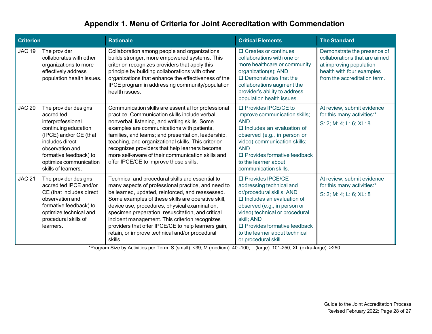| <b>Criterion</b> |                                                                                                                                                                                                                            | <b>Rationale</b>                                                                                                                                                                                                                                                                                                                                                                                                                                                                             | <b>Critical Elements</b>                                                                                                                                                                                                                                                                              | <b>The Standard</b>                                                                                                                                  |
|------------------|----------------------------------------------------------------------------------------------------------------------------------------------------------------------------------------------------------------------------|----------------------------------------------------------------------------------------------------------------------------------------------------------------------------------------------------------------------------------------------------------------------------------------------------------------------------------------------------------------------------------------------------------------------------------------------------------------------------------------------|-------------------------------------------------------------------------------------------------------------------------------------------------------------------------------------------------------------------------------------------------------------------------------------------------------|------------------------------------------------------------------------------------------------------------------------------------------------------|
| <b>JAC 19</b>    | The provider<br>collaborates with other<br>organizations to more<br>effectively address<br>population health issues.                                                                                                       | Collaboration among people and organizations<br>builds stronger, more empowered systems. This<br>criterion recognizes providers that apply this<br>principle by building collaborations with other<br>organizations that enhance the effectiveness of the<br>IPCE program in addressing community/population<br>health issues.                                                                                                                                                               | $\Box$ Creates or continues<br>collaborations with one or<br>more healthcare or community<br>organization(s); AND<br>$\Box$ Demonstrates that the<br>collaborations augment the<br>provider's ability to address<br>population health issues.                                                         | Demonstrate the presence of<br>collaborations that are aimed<br>at improving population<br>health with four examples<br>from the accreditation term. |
| <b>JAC 20</b>    | The provider designs<br>accredited<br>interprofessional<br>continuing education<br>(IPCE) and/or CE (that<br>includes direct<br>observation and<br>formative feedback) to<br>optimize communication<br>skills of learners. | Communication skills are essential for professional<br>practice. Communication skills include verbal,<br>nonverbal, listening, and writing skills. Some<br>examples are communications with patients,<br>families, and teams; and presentation, leadership,<br>teaching, and organizational skills. This criterion<br>recognizes providers that help learners become<br>more self-aware of their communication skills and<br>offer IPCE/CE to improve those skills.                          | □ Provides IPCE/CE to<br>improve communication skills;<br><b>AND</b><br>$\square$ Includes an evaluation of<br>observed (e.g., in person or<br>video) communication skills;<br><b>AND</b><br>$\square$ Provides formative feedback<br>to the learner about<br>communication skills.                   | At review, submit evidence<br>for this many activities:*<br>S: 2; M: 4; L: 6; XL: 8                                                                  |
| <b>JAC 21</b>    | The provider designs<br>accredited IPCE and/or<br>CE (that includes direct<br>observation and<br>formative feedback) to<br>optimize technical and<br>procedural skills of<br>learners.                                     | Technical and procedural skills are essential to<br>many aspects of professional practice, and need to<br>be learned, updated, reinforced, and reassessed.<br>Some examples of these skills are operative skill,<br>device use, procedures, physical examination,<br>specimen preparation, resuscitation, and critical<br>incident management. This criterion recognizes<br>providers that offer IPCE/CE to help learners gain,<br>retain, or improve technical and/or procedural<br>skills. | □ Provides IPCE/CE<br>addressing technical and<br>or/procedural skills; AND<br>$\square$ Includes an evaluation of<br>observed (e.g., in person or<br>video) technical or procedural<br>skill; AND<br>$\square$ Provides formative feedback<br>to the learner about technical<br>or procedural skill. | At review, submit evidence<br>for this many activities:*<br>S: 2; M: 4; L: 6; XL: 8                                                                  |